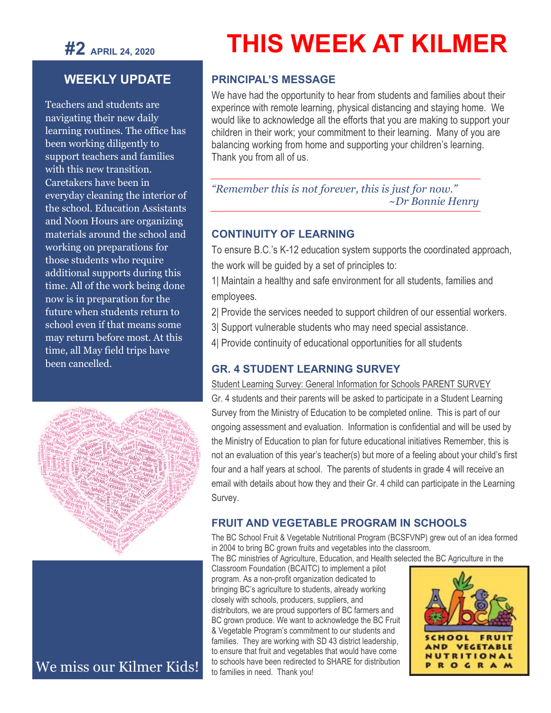**#2 APRIL 24, <sup>2020</sup>**

# **WEEKLY UPDATE**

Teachers and students are navigating their new daily learning routines. The office has been working diligently to support teachers and families with this new transition. Caretakers have been in everyday cleaning the interior of the school. Education Assistants and Noon Hours are organizing materials around the school and working on preparations for those students who require additional supports during this time. All of the work being done now is in preparation for the future when students return to school even if that means some may return before most. At this time, all May field trips have been cancelled.



We miss our Kilmer Kids!

# **THIS WEEK AT KILMER**

#### **PRINCIPAL'S MESSAGE**

We have had the opportunity to hear from students and families about their experince with remote learning, physical distancing and staying home. We would like to acknowledge all the efforts that you are making to support your children in their work; your commitment to their learning. Many of you are balancing working from home and supporting your children's learning. Thank you from all of us.

*"Remember this is not forever, this is just for now." ~Dr Bonnie Henry*

#### **CONTINUITY OF LEARNING**

To ensure B.C.'s K-12 education system supports the coordinated approach, the work will be guided by a set of principles to:

1| Maintain a healthy and safe environment for all students, families and employees.

- 2| Provide the services needed to support children of our essential workers.
- 3| Support vulnerable students who may need special assistance.
- 4| Provide continuity of educational opportunities for all students

#### **GR. 4 STUDENT LEARNING SURVEY**

Student Learning Survey: General Information for Schools PARENT SURVEY

Gr. 4 students and their parents will be asked to participate in a Student Learning Survey from the Ministry of Education to be completed online. This is part of our ongoing assessment and evaluation. Information is confidential and will be used by the Ministry of Education to plan for future educational initiatives Remember, this is not an evaluation of this year's teacher(s) but more of a feeling about your child's first four and a half years at school. The parents of students in grade 4 will receive an email with details about how they and their Gr. 4 child can participate in the Learning Survey.

#### **FRUIT AND VEGETABLE PROGRAM IN SCHOOLS**

The BC School Fruit & Vegetable Nutritional Program (BCSFVNP) grew out of an idea formed in 2004 to bring BC grown fruits and vegetables into the classroom.

The BC ministries of Agriculture, Education, and Health selected the BC Agriculture in the

Classroom Foundation (BCAITC) to implement a pilot program. As a non-profit organization dedicated to bringing BC's agriculture to students, already working closely with schools, producers, suppliers, and distributors, we are proud supporters of BC farmers and BC grown produce. We want to acknowledge the BC Fruit & Vegetable Program's commitment to our students and families. They are working with SD 43 district leadership, to ensure that fruit and vegetables that would have come to schools have been redirected to SHARE for distribution to families in need. Thank you!